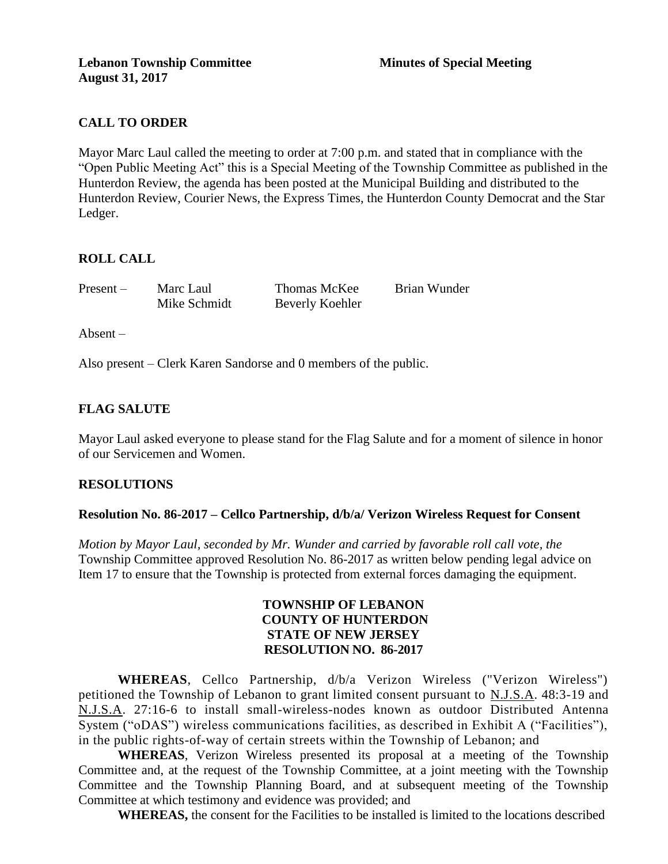# **CALL TO ORDER**

Mayor Marc Laul called the meeting to order at 7:00 p.m. and stated that in compliance with the "Open Public Meeting Act" this is a Special Meeting of the Township Committee as published in the Hunterdon Review, the agenda has been posted at the Municipal Building and distributed to the Hunterdon Review, Courier News, the Express Times, the Hunterdon County Democrat and the Star Ledger.

### **ROLL CALL**

| $Present -$ | Marc Laul  |
|-------------|------------|
|             | Mike Schmi |

Thomas McKee Brian Wunder dt Beverly Koehler

Absent –

Also present – Clerk Karen Sandorse and 0 members of the public.

## **FLAG SALUTE**

Mayor Laul asked everyone to please stand for the Flag Salute and for a moment of silence in honor of our Servicemen and Women.

### **RESOLUTIONS**

### **Resolution No. 86-2017 – Cellco Partnership, d/b/a/ Verizon Wireless Request for Consent**

*Motion by Mayor Laul, seconded by Mr. Wunder and carried by favorable roll call vote, the*  Township Committee approved Resolution No. 86-2017 as written below pending legal advice on Item 17 to ensure that the Township is protected from external forces damaging the equipment.

### **TOWNSHIP OF LEBANON COUNTY OF HUNTERDON STATE OF NEW JERSEY RESOLUTION NO. 86-2017**

**WHEREAS**, Cellco Partnership, d/b/a Verizon Wireless ("Verizon Wireless") petitioned the Township of Lebanon to grant limited consent pursuant to N.J.S.A. 48:3-19 and N.J.S.A. 27:16-6 to install small-wireless-nodes known as outdoor Distributed Antenna System ("oDAS") wireless communications facilities, as described in Exhibit A ("Facilities"), in the public rights-of-way of certain streets within the Township of Lebanon; and

**WHEREAS**, Verizon Wireless presented its proposal at a meeting of the Township Committee and, at the request of the Township Committee, at a joint meeting with the Township Committee and the Township Planning Board, and at subsequent meeting of the Township Committee at which testimony and evidence was provided; and

**WHEREAS,** the consent for the Facilities to be installed is limited to the locations described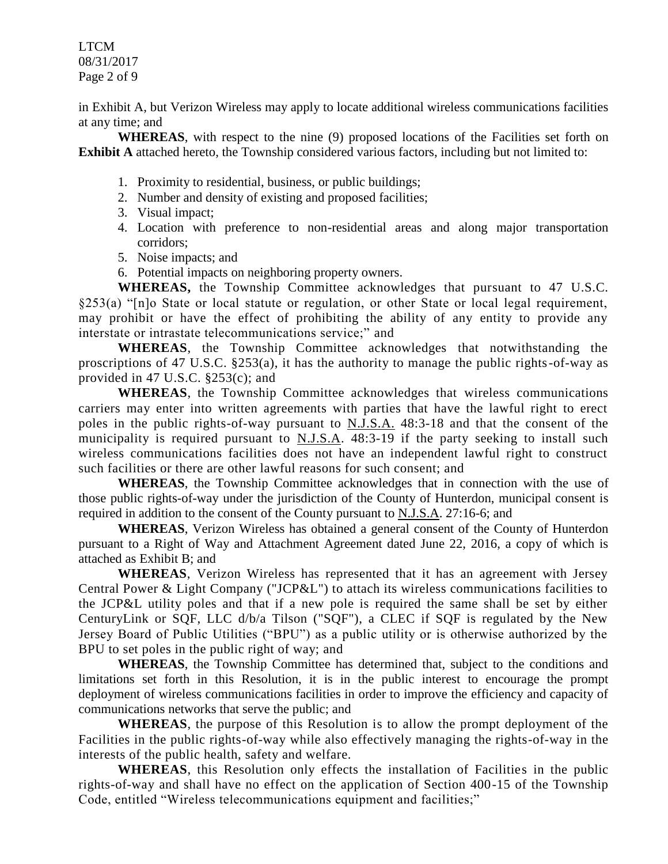LTCM 08/31/2017 Page 2 of 9

in Exhibit A, but Verizon Wireless may apply to locate additional wireless communications facilities at any time; and

**WHEREAS**, with respect to the nine (9) proposed locations of the Facilities set forth on **Exhibit A** attached hereto, the Township considered various factors, including but not limited to:

- 1. Proximity to residential, business, or public buildings;
- 2. Number and density of existing and proposed facilities;
- 3. Visual impact;
- 4. Location with preference to non-residential areas and along major transportation corridors;
- 5. Noise impacts; and
- 6. Potential impacts on neighboring property owners.

**WHEREAS,** the Township Committee acknowledges that pursuant to 47 U.S.C. §253(a) "[n]o State or local statute or regulation, or other State or local legal requirement, may prohibit or have the effect of prohibiting the ability of any entity to provide any interstate or intrastate telecommunications service;" and

**WHEREAS**, the Township Committee acknowledges that notwithstanding the proscriptions of 47 U.S.C. §253(a), it has the authority to manage the public rights-of-way as provided in 47 U.S.C. §253(c); and

**WHEREAS**, the Township Committee acknowledges that wireless communications carriers may enter into written agreements with parties that have the lawful right to erect poles in the public rights-of-way pursuant to N.J.S.A. 48:3-18 and that the consent of the municipality is required pursuant to N.J.S.A. 48:3-19 if the party seeking to install such wireless communications facilities does not have an independent lawful right to construct such facilities or there are other lawful reasons for such consent; and

**WHEREAS**, the Township Committee acknowledges that in connection with the use of those public rights-of-way under the jurisdiction of the County of Hunterdon, municipal consent is required in addition to the consent of the County pursuant to N.J.S.A. 27:16-6; and

**WHEREAS**, Verizon Wireless has obtained a general consent of the County of Hunterdon pursuant to a Right of Way and Attachment Agreement dated June 22, 2016, a copy of which is attached as Exhibit B; and

**WHEREAS**, Verizon Wireless has represented that it has an agreement with Jersey Central Power & Light Company ("JCP&L") to attach its wireless communications facilities to the JCP&L utility poles and that if a new pole is required the same shall be set by either CenturyLink or SQF, LLC d/b/a Tilson ("SQF"), a CLEC if SQF is regulated by the New Jersey Board of Public Utilities ("BPU") as a public utility or is otherwise authorized by the BPU to set poles in the public right of way; and

**WHEREAS**, the Township Committee has determined that, subject to the conditions and limitations set forth in this Resolution, it is in the public interest to encourage the prompt deployment of wireless communications facilities in order to improve the efficiency and capacity of communications networks that serve the public; and

**WHEREAS**, the purpose of this Resolution is to allow the prompt deployment of the Facilities in the public rights-of-way while also effectively managing the rights-of-way in the interests of the public health, safety and welfare.

**WHEREAS**, this Resolution only effects the installation of Facilities in the public rights-of-way and shall have no effect on the application of Section 400-15 of the Township Code, entitled "Wireless telecommunications equipment and facilities;"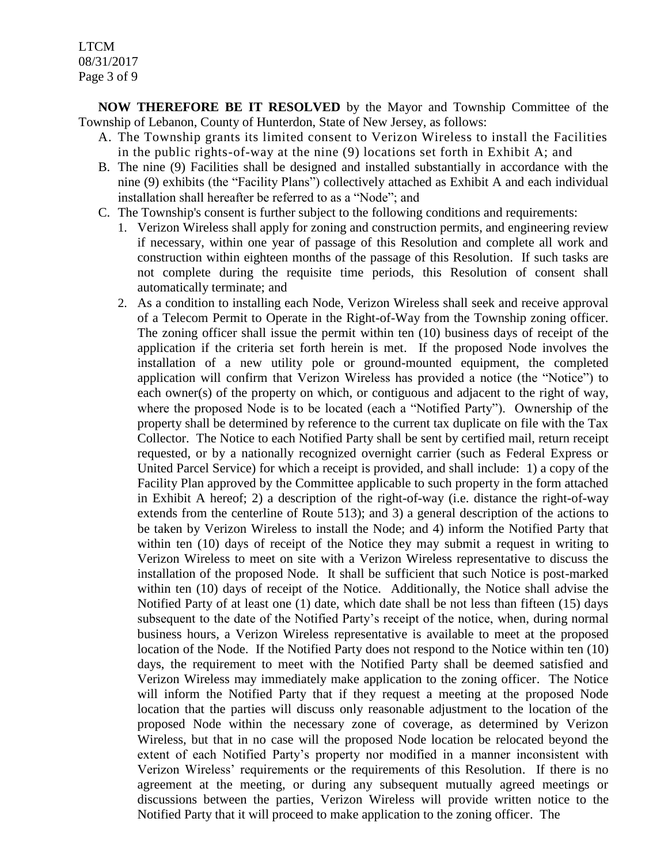LTCM 08/31/2017 Page 3 of 9

**NOW THEREFORE BE IT RESOLVED** by the Mayor and Township Committee of the Township of Lebanon, County of Hunterdon, State of New Jersey, as follows:

- A. The Township grants its limited consent to Verizon Wireless to install the Facilities in the public rights-of-way at the nine (9) locations set forth in Exhibit A; and
- B. The nine (9) Facilities shall be designed and installed substantially in accordance with the nine (9) exhibits (the "Facility Plans") collectively attached as Exhibit A and each individual installation shall hereafter be referred to as a "Node"; and
- C. The Township's consent is further subject to the following conditions and requirements:
	- 1. Verizon Wireless shall apply for zoning and construction permits, and engineering review if necessary, within one year of passage of this Resolution and complete all work and construction within eighteen months of the passage of this Resolution. If such tasks are not complete during the requisite time periods, this Resolution of consent shall automatically terminate; and
	- 2. As a condition to installing each Node, Verizon Wireless shall seek and receive approval of a Telecom Permit to Operate in the Right-of-Way from the Township zoning officer. The zoning officer shall issue the permit within ten (10) business days of receipt of the application if the criteria set forth herein is met. If the proposed Node involves the installation of a new utility pole or ground-mounted equipment, the completed application will confirm that Verizon Wireless has provided a notice (the "Notice") to each owner(s) of the property on which, or contiguous and adjacent to the right of way, where the proposed Node is to be located (each a "Notified Party"). Ownership of the property shall be determined by reference to the current tax duplicate on file with the Tax Collector. The Notice to each Notified Party shall be sent by certified mail, return receipt requested, or by a nationally recognized overnight carrier (such as Federal Express or United Parcel Service) for which a receipt is provided, and shall include: 1) a copy of the Facility Plan approved by the Committee applicable to such property in the form attached in Exhibit A hereof; 2) a description of the right-of-way (i.e. distance the right-of-way extends from the centerline of Route 513); and 3) a general description of the actions to be taken by Verizon Wireless to install the Node; and 4) inform the Notified Party that within ten (10) days of receipt of the Notice they may submit a request in writing to Verizon Wireless to meet on site with a Verizon Wireless representative to discuss the installation of the proposed Node. It shall be sufficient that such Notice is post-marked within ten (10) days of receipt of the Notice. Additionally, the Notice shall advise the Notified Party of at least one (1) date, which date shall be not less than fifteen (15) days subsequent to the date of the Notified Party's receipt of the notice, when, during normal business hours, a Verizon Wireless representative is available to meet at the proposed location of the Node. If the Notified Party does not respond to the Notice within ten (10) days, the requirement to meet with the Notified Party shall be deemed satisfied and Verizon Wireless may immediately make application to the zoning officer. The Notice will inform the Notified Party that if they request a meeting at the proposed Node location that the parties will discuss only reasonable adjustment to the location of the proposed Node within the necessary zone of coverage, as determined by Verizon Wireless, but that in no case will the proposed Node location be relocated beyond the extent of each Notified Party's property nor modified in a manner inconsistent with Verizon Wireless' requirements or the requirements of this Resolution. If there is no agreement at the meeting, or during any subsequent mutually agreed meetings or discussions between the parties, Verizon Wireless will provide written notice to the Notified Party that it will proceed to make application to the zoning officer. The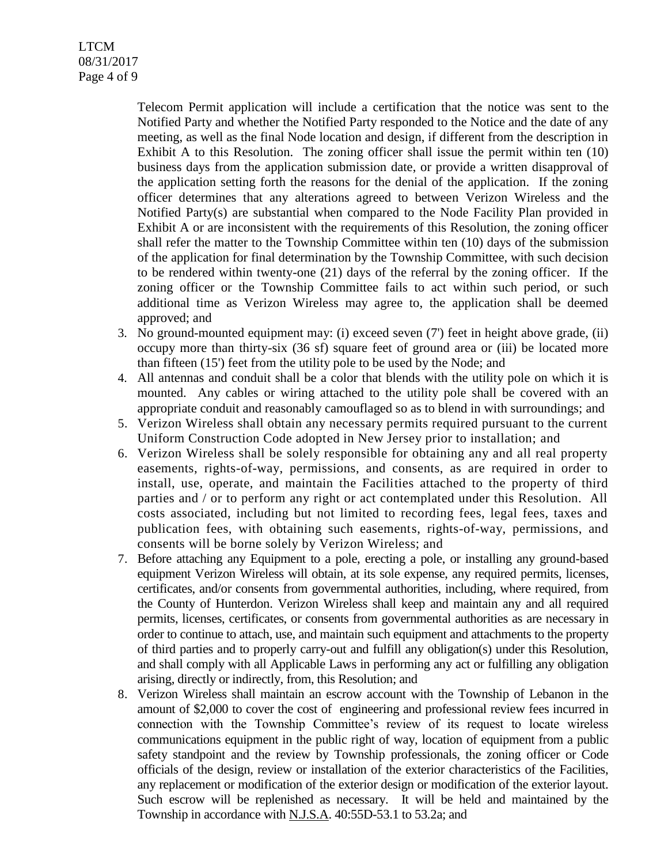Telecom Permit application will include a certification that the notice was sent to the Notified Party and whether the Notified Party responded to the Notice and the date of any meeting, as well as the final Node location and design, if different from the description in Exhibit A to this Resolution. The zoning officer shall issue the permit within ten (10) business days from the application submission date, or provide a written disapproval of the application setting forth the reasons for the denial of the application. If the zoning officer determines that any alterations agreed to between Verizon Wireless and the Notified Party(s) are substantial when compared to the Node Facility Plan provided in Exhibit A or are inconsistent with the requirements of this Resolution, the zoning officer shall refer the matter to the Township Committee within ten (10) days of the submission of the application for final determination by the Township Committee, with such decision to be rendered within twenty-one (21) days of the referral by the zoning officer. If the zoning officer or the Township Committee fails to act within such period, or such additional time as Verizon Wireless may agree to, the application shall be deemed approved; and

- 3. No ground-mounted equipment may: (i) exceed seven (7') feet in height above grade, (ii) occupy more than thirty-six (36 sf) square feet of ground area or (iii) be located more than fifteen (15') feet from the utility pole to be used by the Node; and
- 4. All antennas and conduit shall be a color that blends with the utility pole on which it is mounted. Any cables or wiring attached to the utility pole shall be covered with an appropriate conduit and reasonably camouflaged so as to blend in with surroundings; and
- 5. Verizon Wireless shall obtain any necessary permits required pursuant to the current Uniform Construction Code adopted in New Jersey prior to installation; and
- 6. Verizon Wireless shall be solely responsible for obtaining any and all real property easements, rights-of-way, permissions, and consents, as are required in order to install, use, operate, and maintain the Facilities attached to the property of third parties and / or to perform any right or act contemplated under this Resolution. All costs associated, including but not limited to recording fees, legal fees, taxes and publication fees, with obtaining such easements, rights-of-way, permissions, and consents will be borne solely by Verizon Wireless; and
- 7. Before attaching any Equipment to a pole, erecting a pole, or installing any ground-based equipment Verizon Wireless will obtain, at its sole expense, any required permits, licenses, certificates, and/or consents from governmental authorities, including, where required, from the County of Hunterdon. Verizon Wireless shall keep and maintain any and all required permits, licenses, certificates, or consents from governmental authorities as are necessary in order to continue to attach, use, and maintain such equipment and attachments to the property of third parties and to properly carry-out and fulfill any obligation(s) under this Resolution, and shall comply with all Applicable Laws in performing any act or fulfilling any obligation arising, directly or indirectly, from, this Resolution; and
- 8. Verizon Wireless shall maintain an escrow account with the Township of Lebanon in the amount of \$2,000 to cover the cost of engineering and professional review fees incurred in connection with the Township Committee's review of its request to locate wireless communications equipment in the public right of way, location of equipment from a public safety standpoint and the review by Township professionals, the zoning officer or Code officials of the design, review or installation of the exterior characteristics of the Facilities, any replacement or modification of the exterior design or modification of the exterior layout. Such escrow will be replenished as necessary. It will be held and maintained by the Township in accordance with N.J.S.A. 40:55D-53.1 to 53.2a; and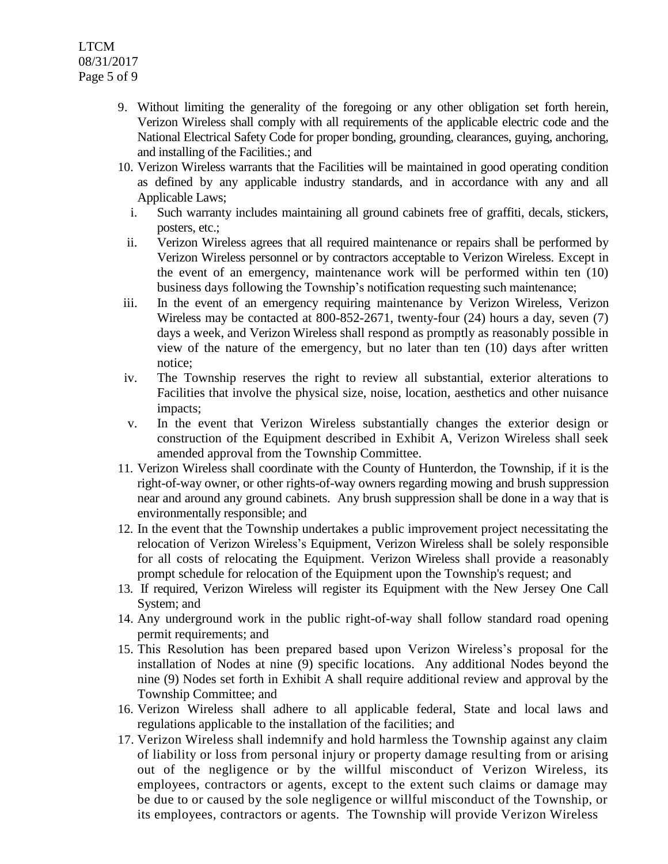- 9. Without limiting the generality of the foregoing or any other obligation set forth herein, Verizon Wireless shall comply with all requirements of the applicable electric code and the National Electrical Safety Code for proper bonding, grounding, clearances, guying, anchoring, and installing of the Facilities.; and
- 10. Verizon Wireless warrants that the Facilities will be maintained in good operating condition as defined by any applicable industry standards, and in accordance with any and all Applicable Laws;
	- i. Such warranty includes maintaining all ground cabinets free of graffiti, decals, stickers, posters, etc.;
	- ii. Verizon Wireless agrees that all required maintenance or repairs shall be performed by Verizon Wireless personnel or by contractors acceptable to Verizon Wireless. Except in the event of an emergency, maintenance work will be performed within ten (10) business days following the Township's notification requesting such maintenance;
- iii. In the event of an emergency requiring maintenance by Verizon Wireless, Verizon Wireless may be contacted at 800-852-2671, twenty-four (24) hours a day, seven (7) days a week, and Verizon Wireless shall respond as promptly as reasonably possible in view of the nature of the emergency, but no later than ten (10) days after written notice;
- iv. The Township reserves the right to review all substantial, exterior alterations to Facilities that involve the physical size, noise, location, aesthetics and other nuisance impacts;
- v. In the event that Verizon Wireless substantially changes the exterior design or construction of the Equipment described in Exhibit A, Verizon Wireless shall seek amended approval from the Township Committee.
- 11. Verizon Wireless shall coordinate with the County of Hunterdon, the Township, if it is the right-of-way owner, or other rights-of-way owners regarding mowing and brush suppression near and around any ground cabinets. Any brush suppression shall be done in a way that is environmentally responsible; and
- 12. In the event that the Township undertakes a public improvement project necessitating the relocation of Verizon Wireless's Equipment, Verizon Wireless shall be solely responsible for all costs of relocating the Equipment. Verizon Wireless shall provide a reasonably prompt schedule for relocation of the Equipment upon the Township's request; and
- 13. If required, Verizon Wireless will register its Equipment with the New Jersey One Call System; and
- 14. Any underground work in the public right-of-way shall follow standard road opening permit requirements; and
- 15. This Resolution has been prepared based upon Verizon Wireless's proposal for the installation of Nodes at nine (9) specific locations. Any additional Nodes beyond the nine (9) Nodes set forth in Exhibit A shall require additional review and approval by the Township Committee; and
- 16. Verizon Wireless shall adhere to all applicable federal, State and local laws and regulations applicable to the installation of the facilities; and
- 17. Verizon Wireless shall indemnify and hold harmless the Township against any claim of liability or loss from personal injury or property damage resulting from or arising out of the negligence or by the willful misconduct of Verizon Wireless, its employees, contractors or agents, except to the extent such claims or damage may be due to or caused by the sole negligence or willful misconduct of the Township, or its employees, contractors or agents. The Township will provide Verizon Wireless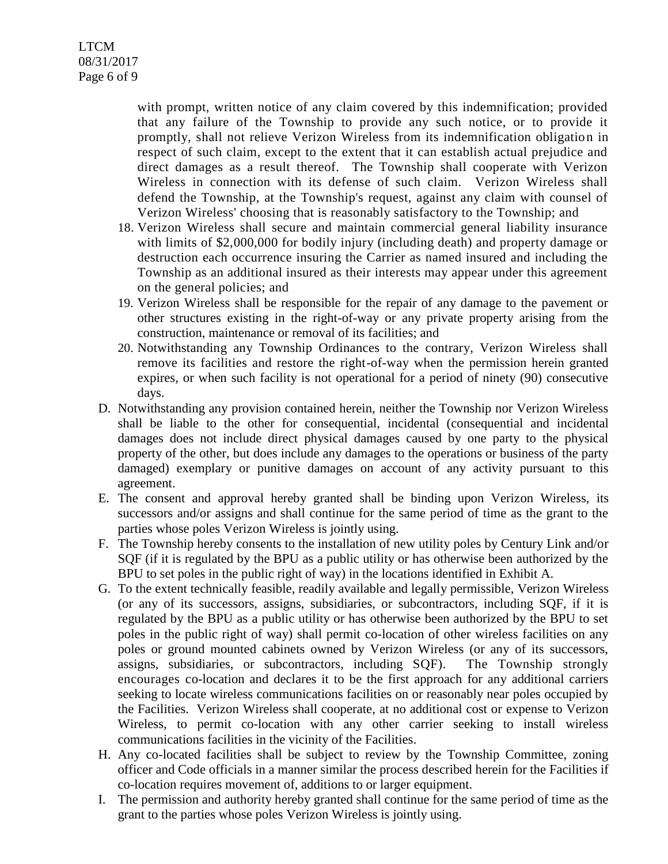with prompt, written notice of any claim covered by this indemnification; provided that any failure of the Township to provide any such notice, or to provide it promptly, shall not relieve Verizon Wireless from its indemnification obligation in respect of such claim, except to the extent that it can establish actual prejudice and direct damages as a result thereof. The Township shall cooperate with Verizon Wireless in connection with its defense of such claim. Verizon Wireless shall defend the Township, at the Township's request, against any claim with counsel of Verizon Wireless' choosing that is reasonably satisfactory to the Township; and

- 18. Verizon Wireless shall secure and maintain commercial general liability insurance with limits of \$2,000,000 for bodily injury (including death) and property damage or destruction each occurrence insuring the Carrier as named insured and including the Township as an additional insured as their interests may appear under this agreement on the general policies; and
- 19. Verizon Wireless shall be responsible for the repair of any damage to the pavement or other structures existing in the right-of-way or any private property arising from the construction, maintenance or removal of its facilities; and
- 20. Notwithstanding any Township Ordinances to the contrary, Verizon Wireless shall remove its facilities and restore the right-of-way when the permission herein granted expires, or when such facility is not operational for a period of ninety (90) consecutive days.
- D. Notwithstanding any provision contained herein, neither the Township nor Verizon Wireless shall be liable to the other for consequential, incidental (consequential and incidental damages does not include direct physical damages caused by one party to the physical property of the other, but does include any damages to the operations or business of the party damaged) exemplary or punitive damages on account of any activity pursuant to this agreement.
- E. The consent and approval hereby granted shall be binding upon Verizon Wireless, its successors and/or assigns and shall continue for the same period of time as the grant to the parties whose poles Verizon Wireless is jointly using.
- F. The Township hereby consents to the installation of new utility poles by Century Link and/or SQF (if it is regulated by the BPU as a public utility or has otherwise been authorized by the BPU to set poles in the public right of way) in the locations identified in Exhibit A.
- G. To the extent technically feasible, readily available and legally permissible, Verizon Wireless (or any of its successors, assigns, subsidiaries, or subcontractors, including SQF, if it is regulated by the BPU as a public utility or has otherwise been authorized by the BPU to set poles in the public right of way) shall permit co-location of other wireless facilities on any poles or ground mounted cabinets owned by Verizon Wireless (or any of its successors, assigns, subsidiaries, or subcontractors, including SQF). The Township strongly encourages co-location and declares it to be the first approach for any additional carriers seeking to locate wireless communications facilities on or reasonably near poles occupied by the Facilities. Verizon Wireless shall cooperate, at no additional cost or expense to Verizon Wireless, to permit co-location with any other carrier seeking to install wireless communications facilities in the vicinity of the Facilities.
- H. Any co-located facilities shall be subject to review by the Township Committee, zoning officer and Code officials in a manner similar the process described herein for the Facilities if co-location requires movement of, additions to or larger equipment.
- I. The permission and authority hereby granted shall continue for the same period of time as the grant to the parties whose poles Verizon Wireless is jointly using.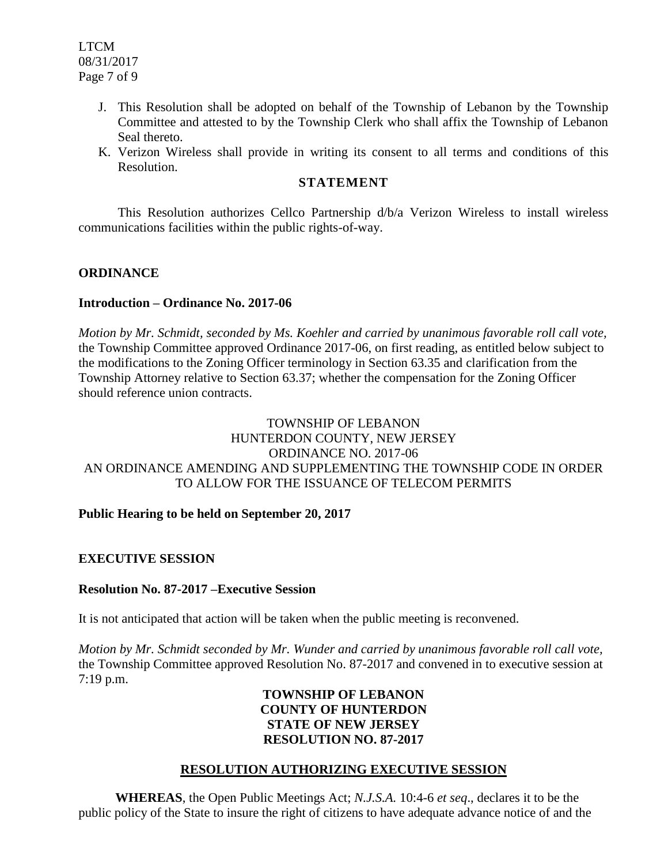LTCM 08/31/2017 Page 7 of 9

- J. This Resolution shall be adopted on behalf of the Township of Lebanon by the Township Committee and attested to by the Township Clerk who shall affix the Township of Lebanon Seal thereto.
- K. Verizon Wireless shall provide in writing its consent to all terms and conditions of this Resolution.

### **STATEMENT**

This Resolution authorizes Cellco Partnership d/b/a Verizon Wireless to install wireless communications facilities within the public rights-of-way.

### **ORDINANCE**

### **Introduction – Ordinance No. 2017-06**

*Motion by Mr. Schmidt, seconded by Ms. Koehler and carried by unanimous favorable roll call vote,*  the Township Committee approved Ordinance 2017-06, on first reading, as entitled below subject to the modifications to the Zoning Officer terminology in Section 63.35 and clarification from the Township Attorney relative to Section 63.37; whether the compensation for the Zoning Officer should reference union contracts.

## TOWNSHIP OF LEBANON HUNTERDON COUNTY, NEW JERSEY ORDINANCE NO. 2017-06 AN ORDINANCE AMENDING AND SUPPLEMENTING THE TOWNSHIP CODE IN ORDER TO ALLOW FOR THE ISSUANCE OF TELECOM PERMITS

### **Public Hearing to be held on September 20, 2017**

## **EXECUTIVE SESSION**

### **Resolution No. 87-2017 –Executive Session**

It is not anticipated that action will be taken when the public meeting is reconvened.

*Motion by Mr. Schmidt seconded by Mr. Wunder and carried by unanimous favorable roll call vote,* the Township Committee approved Resolution No. 87-2017 and convened in to executive session at 7:19 p.m.

# **TOWNSHIP OF LEBANON COUNTY OF HUNTERDON STATE OF NEW JERSEY RESOLUTION NO. 87-2017**

### **RESOLUTION AUTHORIZING EXECUTIVE SESSION**

**WHEREAS**, the Open Public Meetings Act; *N.J.S.A.* 10:4-6 *et seq*., declares it to be the public policy of the State to insure the right of citizens to have adequate advance notice of and the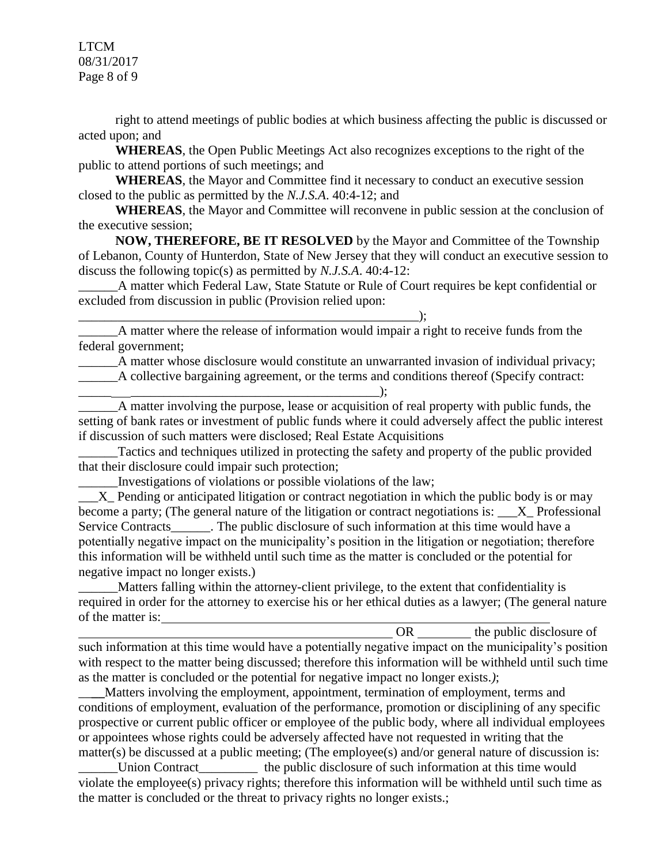LTCM 08/31/2017 Page 8 of 9

right to attend meetings of public bodies at which business affecting the public is discussed or acted upon; and

**WHEREAS**, the Open Public Meetings Act also recognizes exceptions to the right of the public to attend portions of such meetings; and

**WHEREAS**, the Mayor and Committee find it necessary to conduct an executive session closed to the public as permitted by the *N.J.S.A*. 40:4-12; and

**WHEREAS**, the Mayor and Committee will reconvene in public session at the conclusion of the executive session;

**NOW, THEREFORE, BE IT RESOLVED** by the Mayor and Committee of the Township of Lebanon, County of Hunterdon, State of New Jersey that they will conduct an executive session to discuss the following topic(s) as permitted by *N.J.S.A*. 40:4-12:

\_\_\_\_\_\_A matter which Federal Law, State Statute or Rule of Court requires be kept confidential or excluded from discussion in public (Provision relied upon:

\_\_\_\_\_\_A matter where the release of information would impair a right to receive funds from the federal government;

A matter whose disclosure would constitute an unwarranted invasion of individual privacy;

\_\_\_\_\_\_A collective bargaining agreement, or the terms and conditions thereof (Specify contract:

\_\_\_\_\_ \_\_\_\_\_\_\_\_\_\_\_\_\_\_\_\_\_\_\_\_\_\_\_\_\_\_\_\_\_\_\_\_\_\_\_\_\_\_);

\_\_\_\_\_\_A matter involving the purpose, lease or acquisition of real property with public funds, the setting of bank rates or investment of public funds where it could adversely affect the public interest if discussion of such matters were disclosed; Real Estate Acquisitions

Tactics and techniques utilized in protecting the safety and property of the public provided that their disclosure could impair such protection;

\_\_\_\_\_\_Investigations of violations or possible violations of the law;

\_\_\_\_\_\_\_\_\_\_\_\_\_\_\_\_\_\_\_\_\_\_\_\_\_\_\_\_\_\_\_\_\_\_\_\_\_\_\_\_\_\_\_\_\_\_\_\_\_\_\_\_);

X Pending or anticipated litigation or contract negotiation in which the public body is or may become a party; (The general nature of the litigation or contract negotiations is:  $X$  Professional Service Contracts\_\_\_\_\_\_. The public disclosure of such information at this time would have a potentially negative impact on the municipality's position in the litigation or negotiation; therefore this information will be withheld until such time as the matter is concluded or the potential for negative impact no longer exists.)

Matters falling within the attorney-client privilege, to the extent that confidentiality is required in order for the attorney to exercise his or her ethical duties as a lawyer; (The general nature of the matter is:

OR the public disclosure of such information at this time would have a potentially negative impact on the municipality's position with respect to the matter being discussed; therefore this information will be withheld until such time as the matter is concluded or the potential for negative impact no longer exists.*)*;

\_\_**\_\_**Matters involving the employment, appointment, termination of employment, terms and conditions of employment, evaluation of the performance, promotion or disciplining of any specific prospective or current public officer or employee of the public body, where all individual employees or appointees whose rights could be adversely affected have not requested in writing that the matter(s) be discussed at a public meeting; (The employee(s) and/or general nature of discussion is: Union Contract\_\_\_\_\_\_\_\_\_\_\_\_\_ the public disclosure of such information at this time would violate the employee(s) privacy rights; therefore this information will be withheld until such time as the matter is concluded or the threat to privacy rights no longer exists.;